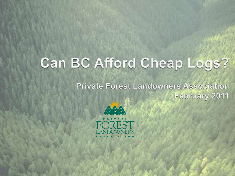# Can BC Afford Cheap Logs?

**Private Forest Landowners Association** February 2011

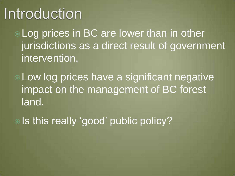# Introduction

Log prices in BC are lower than in other jurisdictions as a direct result of government intervention.

Low log prices have a significant negative impact on the management of BC forest land.

. Is this really 'good' public policy?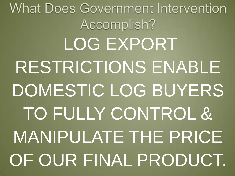What Does Government Intervention Accomplish? LOG EXPORT RESTRICTIONS ENABLE DOMESTIC LOG BUYERS TO FULLY CONTROL & MANIPULATE THE PRICE OF OUR FINAL PRODUCT.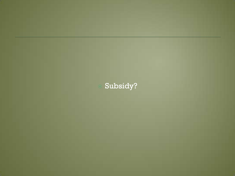

#### Subsidy?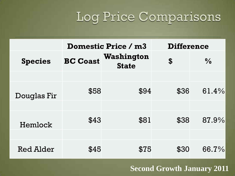# Log Price Comparisons

|                  | <b>Domestic Price / m3</b> |                            | <b>Difference</b>                      |               |
|------------------|----------------------------|----------------------------|----------------------------------------|---------------|
| <b>Species</b>   | <b>BC Coast</b>            | Washington<br><b>State</b> | $\boldsymbol{\boldsymbol{\mathsf{S}}}$ | $\frac{0}{0}$ |
|                  |                            |                            |                                        |               |
| Douglas Fir      | \$58                       | \$94                       | \$36                                   | 61.4%         |
|                  |                            |                            |                                        |               |
| Hemlock          | \$43                       | \$81                       | \$38                                   | 87.9%         |
|                  |                            |                            |                                        |               |
| <b>Red Alder</b> | \$45                       | \$75                       | \$30                                   | 66.7%         |

#### **Second Growth January 2011**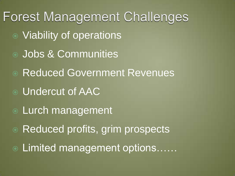**Forest Management Challenges**  Viability of operations Jobs & Communities Reduced Government Revenues Undercut of AAC Lurch management Reduced profits, grim prospects Limited management options……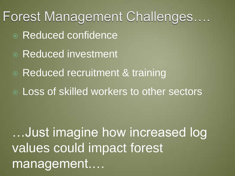Forest Management Challenges.... Reduced confidence Reduced investment ● Reduced recruitment & training Loss of skilled workers to other sectors …Just imagine how increased log values could impact forest management....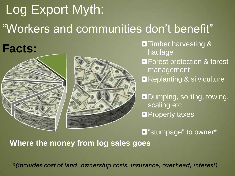# Log Export Myth: "Workers and communities don"t benefit"

**Facts:**



**O**Timber harvesting & haulage **O**Forest protection & forest management **Replanting & silviculture ODumping, sorting, towing,** scaling etc **O** Property taxes

 $\square$  "stumpage" to owner\*

**Where the money from log sales goes**

*\*(includes cost of land, ownership costs, insurance, overhead, interest)*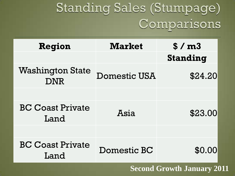# Standing Sales (Stumpage) Comparisons

| Region                                | <b>Market</b>       | \$/m3           |
|---------------------------------------|---------------------|-----------------|
|                                       |                     | <b>Standing</b> |
| <b>Washington State</b><br><b>DNR</b> | <b>Domestic USA</b> | \$24.20         |
|                                       |                     |                 |
| <b>BC Coast Private</b><br>Land       | Asia                | \$23.00         |
|                                       |                     |                 |
| <b>BC Coast Private</b><br>Land       | Domestic BC         | \$0.00          |

**Second Growth January 2011**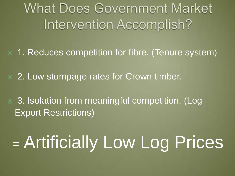# **What Does Government Market** Intervention Accomplish?

1. Reduces competition for fibre. (Tenure system)

**◎ 2. Low stumpage rates for Crown timber.** 

● 3. Isolation from meaningful competition. (Log Export Restrictions)

# = Artificially Low Log Prices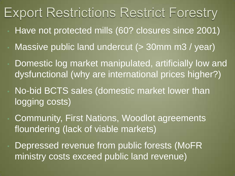# **Export Restrictions Restrict Forestry**

- Have not protected mills (60? closures since 2001)
- Massive public land undercut (> 30mm m3 / year)
- Domestic log market manipulated, artificially low and dysfunctional (why are international prices higher?)
- No-bid BCTS sales (domestic market lower than logging costs)
- Community, First Nations, Woodlot agreements floundering (lack of viable markets)
- Depressed revenue from public forests (MoFR ministry costs exceed public land revenue)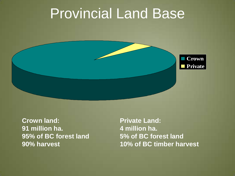# Provincial Land Base



**Crown land: 91 million ha. 95% of BC forest land 90% harvest**

**Private Land: 4 million ha. 5% of BC forest land 10% of BC timber harvest**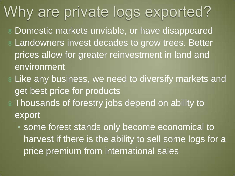# Why are private logs exported?

- Domestic markets unviable, or have disappeared Landowners invest decades to grow trees. Better prices allow for greater reinvestment in land and environment
- Like any business, we need to diversify markets and get best price for products
- Thousands of forestry jobs depend on ability to export
	- some forest stands only become economical to harvest if there is the ability to sell some logs for a price premium from international sales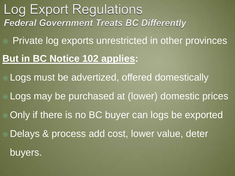### **Log Export Regulations Federal Government Treats BC Differently**

Private log exports unrestricted in other provinces

#### **But in BC Notice 102 applies:**

 Logs must be advertized, offered domestically Logs may be purchased at (lower) domestic prices Only if there is no BC buyer can logs be exported

Delays & process add cost, lower value, deter

buyers.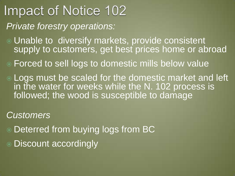# Impact of Notice 102 *Private forestry operations:*

- Unable to diversify markets, provide consistent supply to customers, get best prices home or abroad
- Forced to sell logs to domestic mills below value
- Logs must be scaled for the domestic market and left in the water for weeks while the N. 102 process is followed; the wood is susceptible to damage

*Customers* 

- Deterred from buying logs from BC
- Discount accordingly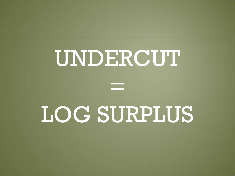

# UNDERCUT

=

# LOG SURPLUS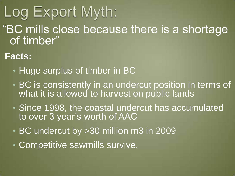# Log Export Myth:

"BC mills close because there is a shortage of timber"

#### **Facts:**

- Huge surplus of timber in BC
- BC is consistently in an undercut position in terms of what it is allowed to harvest on public lands
- Since 1998, the coastal undercut has accumulated to over 3 year's worth of AAC
- BC undercut by >30 million m3 in 2009
- Competitive sawmills survive.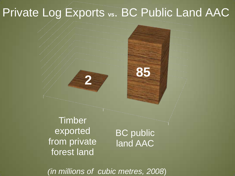# Private Log Exports **vs**. BC Public Land AAC

**Timber** exported from private forest land

**2**

BC public land AAC

**85**

*(in millions of cubic metres, 2008*)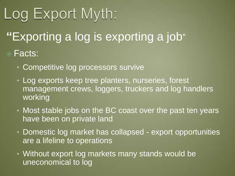# Log Export Myth:

# **"**Exporting a log is exporting a job"

#### Facts:

- Competitive log processors survive
- Log exports keep tree planters, nurseries, forest management crews, loggers, truckers and log handlers working
- Most stable jobs on the BC coast over the past ten years have been on private land
- Domestic log market has collapsed export opportunities are a lifeline to operations
- Without export log markets many stands would be uneconomical to log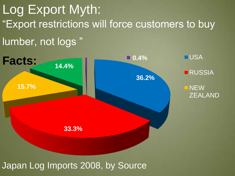"Export restrictions will force customers to buy lumber, not logs " Log Export Myth:



Japan Log Imports 2008, by Source